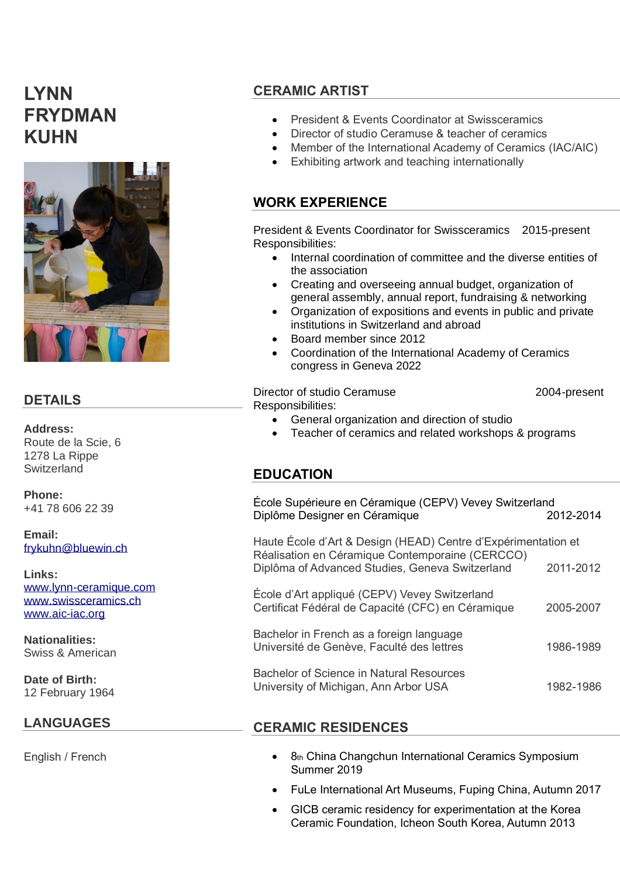# **LYNN FRYDMAN KUHN**



#### **DETAILS**

**Address:** Route de la Scie, 6 1278 La Rippe **Switzerland** 

**Phone:** +41 78 606 22 39

**Email:** [frykuhn@bluewin.ch](mailto:frykuhn@bluewin.ch)

**Links:** [www.lynn-ceramique.com](http://www.lynn-ceramique.com/) [www.swissceramics.ch](http://www.swissceramics.ch/) [www.aic-iac.org](http://www.aic-iac.org/)

**Nationalities:** Swiss & American

**Date of Birth:** 12 February 1964

# **LANGUAGES**

English / French

# **CERAMIC ARTIST**

- President & Events Coordinator at Swissceramics
- Director of studio Ceramuse & teacher of ceramics
- Member of the International Academy of Ceramics (IAC/AIC)
- Exhibiting artwork and teaching internationally

#### **WORK EXPERIENCE**

President & Events Coordinator for Swissceramics 2015-present Responsibilities:

- Internal coordination of committee and the diverse entities of the association
- Creating and overseeing annual budget, organization of general assembly, annual report, fundraising & networking
- Organization of expositions and events in public and private institutions in Switzerland and abroad
- Board member since 2012
- Coordination of the International Academy of Ceramics congress in Geneva 2022

Director of studio Ceramuse 2004-present Responsibilities:

- General organization and direction of studio
- Teacher of ceramics and related workshops & programs

# **EDUCATION**

| École Supérieure en Céramique (CEPV) Vevey Switzerland<br>Diplôme Designer en Céramique                                                                             | 2012-2014 |
|---------------------------------------------------------------------------------------------------------------------------------------------------------------------|-----------|
| Haute École d'Art & Design (HEAD) Centre d'Expérimentation et<br>Réalisation en Céramique Contemporaine (CERCCO)<br>Diplôma of Advanced Studies, Geneva Switzerland | 2011-2012 |
| École d'Art appliqué (CEPV) Vevey Switzerland<br>Certificat Fédéral de Capacité (CFC) en Céramique                                                                  | 2005-2007 |
| Bachelor in French as a foreign language<br>Université de Genève, Faculté des lettres                                                                               | 1986-1989 |
| <b>Bachelor of Science in Natural Resources</b><br>University of Michigan, Ann Arbor USA                                                                            | 1982-1986 |

# **CERAMIC RESIDENCES**

- 8th China Changchun International Ceramics Symposium Summer 2019
- FuLe International Art Museums, Fuping China, Autumn 2017
- GICB ceramic residency for experimentation at the Korea Ceramic Foundation, Icheon South Korea, Autumn 2013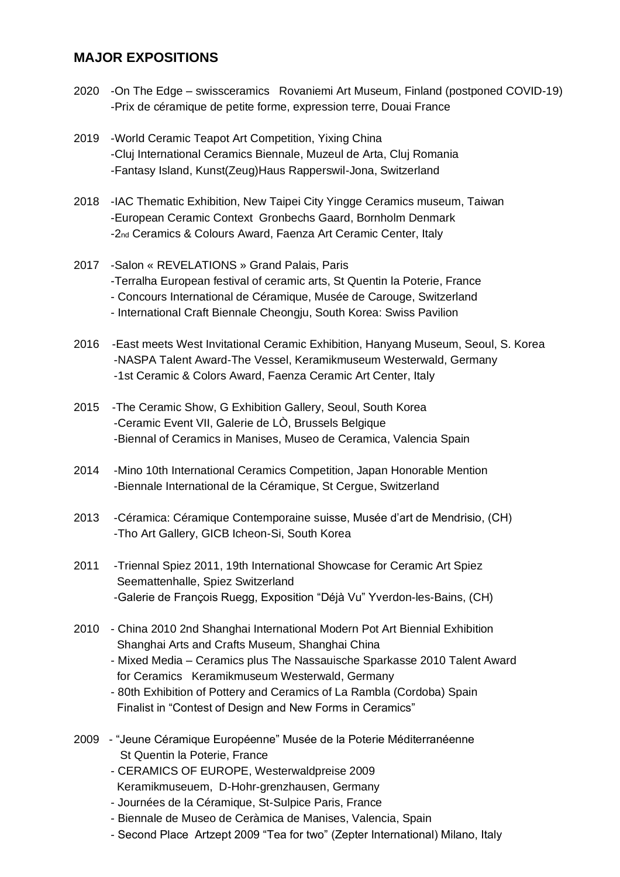#### **MAJOR EXPOSITIONS**

- 2020 -On The Edge swissceramics Rovaniemi Art Museum, Finland (postponed COVID-19) -Prix de céramique de petite forme, expression terre, Douai France
- 2019 -World Ceramic Teapot Art Competition, Yixing China -Cluj International Ceramics Biennale, Muzeul de Arta, Cluj Romania -Fantasy Island, Kunst(Zeug)Haus Rapperswil-Jona, Switzerland
- 2018 -IAC Thematic Exhibition, New Taipei City Yingge Ceramics museum, Taiwan -European Ceramic Context Gronbechs Gaard, Bornholm Denmark -2nd Ceramics & Colours Award, Faenza Art Ceramic Center, Italy
- 2017 -Salon « REVELATIONS » Grand Palais, Paris -Terralha European festival of ceramic arts, St Quentin la Poterie, France - Concours International de Céramique, Musée de Carouge, Switzerland - International Craft Biennale Cheongju, South Korea: Swiss Pavilion
- 2016 -East meets West Invitational Ceramic Exhibition, Hanyang Museum, Seoul, S. Korea -NASPA Talent Award-The Vessel, Keramikmuseum Westerwald, Germany -1st Ceramic & Colors Award, Faenza Ceramic Art Center, Italy
- 2015 -The Ceramic Show, G Exhibition Gallery, Seoul, South Korea -Ceramic Event VII, Galerie de LÒ, Brussels Belgique -Biennal of Ceramics in Manises, Museo de Ceramica, Valencia Spain
- 2014 -Mino 10th International Ceramics Competition, Japan Honorable Mention -Biennale International de la Céramique, St Cergue, Switzerland
- 2013 -Céramica: Céramique Contemporaine suisse, Musée d'art de Mendrisio, (CH) -Tho Art Gallery, GICB Icheon-Si, South Korea
- 2011 -Triennal Spiez 2011, 19th International Showcase for Ceramic Art Spiez Seemattenhalle, Spiez Switzerland -Galerie de François Ruegg, Exposition "Déjà Vu" Yverdon-les-Bains, (CH)
- 2010 China 2010 2nd Shanghai International Modern Pot Art Biennial Exhibition Shanghai Arts and Crafts Museum, Shanghai China
	- Mixed Media Ceramics plus The Nassauische Sparkasse 2010 Talent Award for Ceramics Keramikmuseum Westerwald, Germany
	- 80th Exhibition of Pottery and Ceramics of La Rambla (Cordoba) Spain Finalist in "Contest of Design and New Forms in Ceramics"
- 2009 "Jeune Céramique Européenne" Musée de la Poterie Méditerranéenne St Quentin la Poterie, France
	- CERAMICS OF EUROPE, Westerwaldpreise 2009 Keramikmuseuem, D-Hohr-grenzhausen, Germany
	- Journées de la Céramique, St-Sulpice Paris, France
	- Biennale de Museo de Ceràmica de Manises, Valencia, Spain
	- Second Place Artzept 2009 "Tea for two" (Zepter International) Milano, Italy